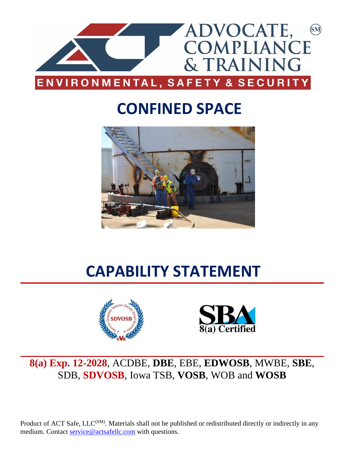

## **CONFINED SPACE**



# **CAPABILITY STATEMENT**





### **8(a) Exp. 12-2028**, ACDBE, **DBE**, EBE, **EDWOSB**, MWBE, **SBE**, SDB, **SDVOSB**, Iowa TSB, **VOSB**, WOB and **WOSB**

Product of ACT Safe, LLC<sup>(SM)</sup>. Materials shall not be published or redistributed directly or indirectly in any medium. Contact [service@actsafellc.com](mailto:service@actsafellc.com) with questions.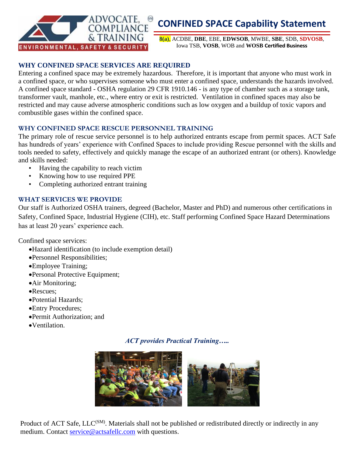

## **CONFINED SPACE Capability Statement**

**8(a)**, ACDBE, **DBE**, EBE, **EDWSOB**, MWBE, **SBE**, SDB, **SDVOSB**, Iowa TSB, **VOSB**, WOB and **WOSB Certified Business**

#### **WHY CONFINED SPACE SERVICES ARE REQUIRED**

Entering a confined space may be extremely hazardous. Therefore, it is important that anyone who must work in a confined space, or who supervises someone who must enter a confined space, understands the hazards involved. A confined space standard - OSHA regulation 29 CFR 1910.146 - is any type of chamber such as a storage tank, transformer vault, manhole, etc., where entry or exit is restricted. Ventilation in confined spaces may also be restricted and may cause adverse atmospheric conditions such as low oxygen and a buildup of toxic vapors and combustible gases within the confined space.

#### **WHY CONFINED SPACE RESCUE PERSONNEL TRAINING**

The primary role of rescue service personnel is to help authorized entrants escape from permit spaces. ACT Safe has hundreds of years' experience with Confined Spaces to include providing Rescue personnel with the skills and tools needed to safety, effectively and quickly manage the escape of an authorized entrant (or others). Knowledge and skills needed:

- Having the capability to reach victim
- Knowing how to use required PPE
- Completing authorized entrant training

#### **WHAT SERVICES WE PROVIDE**

Our staff is Authorized OSHA trainers, degreed (Bachelor, Master and PhD) and numerous other certifications in Safety, Confined Space, Industrial Hygiene (CIH), etc. Staff performing Confined Space Hazard Determinations has at least 20 years' experience each.

Confined space services:

- •Hazard identification (to include exemption detail)
- •Personnel Responsibilities;
- •Employee Training;
- •Personal Protective Equipment;
- •Air Monitoring;
- •Rescues;
- •Potential Hazards;
- •Entry Procedures;
- •Permit Authorization; and
- •Ventilation.

#### *ACT provides Practical Training…..*



Product of ACT Safe, LLC<sup>(SM)</sup>. Materials shall not be published or redistributed directly or indirectly in any medium. Contact [service@actsafellc.com](mailto:service@actsafellc.com) with questions.